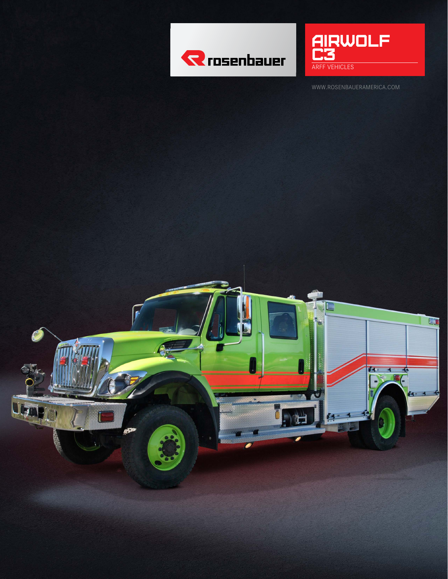



WWW.ROSENBAUERAMERICA.COM